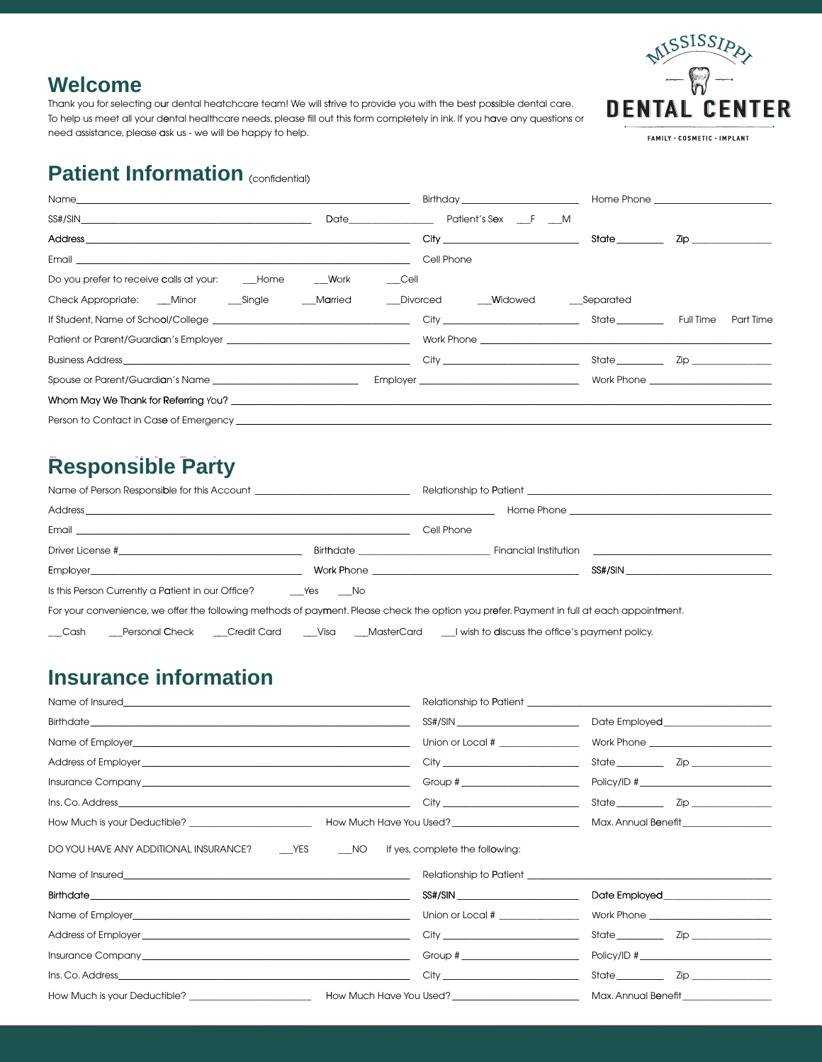

#### **Welcome**

Thank you for selecting our dental heatchcare team! We will strive to provide you with the best possible dental care. To help us meet all your dental healthcare needs, please fill out this form completely in ink. If you have any questions or need assistance, please ask us - we will be happy to help.

FAMILY . COSMETIC . IMPLANT

## **Patient Information (CONFIGION)**

|                                                                                                                                                                                                                                | <b>Birthday Exercise 2008</b>          |                                                                                                                                                                                                                                 | Home Phone <b>Example 2019</b> |
|--------------------------------------------------------------------------------------------------------------------------------------------------------------------------------------------------------------------------------|----------------------------------------|---------------------------------------------------------------------------------------------------------------------------------------------------------------------------------------------------------------------------------|--------------------------------|
| $SS\#/SIN \qquad \qquad \overbrace{\hspace{1.5cm}}$                                                                                                                                                                            | Date <b>Dational Patient's Sex</b> F M |                                                                                                                                                                                                                                 |                                |
|                                                                                                                                                                                                                                |                                        | State and the state of the state of the state of the state of the state of the state of the state of the state of the state of the state of the state of the state of the state of the state of the state of the state of the s | Zip ________________           |
|                                                                                                                                                                                                                                | Cell Phone                             |                                                                                                                                                                                                                                 |                                |
| Do you prefer to receive calls at your: Home Work Cell                                                                                                                                                                         |                                        |                                                                                                                                                                                                                                 |                                |
| Check Appropriate: ___Minor ____Single _____Married ____Divorced _____Widowed ____Separated                                                                                                                                    |                                        |                                                                                                                                                                                                                                 |                                |
|                                                                                                                                                                                                                                |                                        |                                                                                                                                                                                                                                 | <b>Part Time</b>               |
|                                                                                                                                                                                                                                |                                        |                                                                                                                                                                                                                                 |                                |
|                                                                                                                                                                                                                                |                                        |                                                                                                                                                                                                                                 | State Zip                      |
|                                                                                                                                                                                                                                |                                        |                                                                                                                                                                                                                                 |                                |
| Whom May We Thank for Referring You? The contract of the contract of the contract of the contract of the contract of the contract of the contract of the contract of the contract of the contract of the contract of the contr |                                        |                                                                                                                                                                                                                                 |                                |
|                                                                                                                                                                                                                                |                                        |                                                                                                                                                                                                                                 |                                |

# **Responsible Party**

|                                                                                                                                           |                                                                                                           | Relationship to Patient the contract of the contract of the contract of the contract of the contract of the contract of the contract of the contract of the contract of the contract of the contract of the contract of the co |         |  |  |
|-------------------------------------------------------------------------------------------------------------------------------------------|-----------------------------------------------------------------------------------------------------------|--------------------------------------------------------------------------------------------------------------------------------------------------------------------------------------------------------------------------------|---------|--|--|
|                                                                                                                                           |                                                                                                           |                                                                                                                                                                                                                                |         |  |  |
|                                                                                                                                           |                                                                                                           | Cell Phone                                                                                                                                                                                                                     |         |  |  |
|                                                                                                                                           |                                                                                                           |                                                                                                                                                                                                                                |         |  |  |
|                                                                                                                                           | Employer <b>Employer Employer Employer Employer Employer Employer Employer Employer Employer EMPLOYER</b> |                                                                                                                                                                                                                                | SS#/SIN |  |  |
|                                                                                                                                           |                                                                                                           |                                                                                                                                                                                                                                |         |  |  |
| For your convenience, we offer the following methods of payment. Please check the option you prefer. Payment in full at each appointment. |                                                                                                           |                                                                                                                                                                                                                                |         |  |  |
| $\_\_$ Cash<br>Personal Check Credit Card Clisa MasterCard Livish to discuss the office's payment policy.                                 |                                                                                                           |                                                                                                                                                                                                                                |         |  |  |

## **Insurance information**

|                                                                                                                                                                                                                                      | Union or Local # ________________    |                     |  |  |
|--------------------------------------------------------------------------------------------------------------------------------------------------------------------------------------------------------------------------------------|--------------------------------------|---------------------|--|--|
|                                                                                                                                                                                                                                      |                                      |                     |  |  |
|                                                                                                                                                                                                                                      | Group # ________________________     | Policy/ID #         |  |  |
|                                                                                                                                                                                                                                      |                                      |                     |  |  |
|                                                                                                                                                                                                                                      |                                      |                     |  |  |
| DO YOU HAVE ANY ADDITIONAL INSURANCE? _______YES ________NO ff yes, complete the following:                                                                                                                                          |                                      |                     |  |  |
| Name of Insured <b>Executive Contract Contract Contract Contract Contract Contract Contract Contract Contract Contract Contract Contract Contract Contract Contract Contract Contract Contract Contract Contract Contract Contra</b> |                                      |                     |  |  |
|                                                                                                                                                                                                                                      | SS#/SIN ____________________________ |                     |  |  |
| Name of Employer experience and the state of Employer                                                                                                                                                                                | Union or Local # 2007 2008           |                     |  |  |
|                                                                                                                                                                                                                                      |                                      |                     |  |  |
|                                                                                                                                                                                                                                      | Group # _______________________      | Policy/ID #         |  |  |
|                                                                                                                                                                                                                                      |                                      |                     |  |  |
|                                                                                                                                                                                                                                      |                                      | Max. Annual Benefit |  |  |